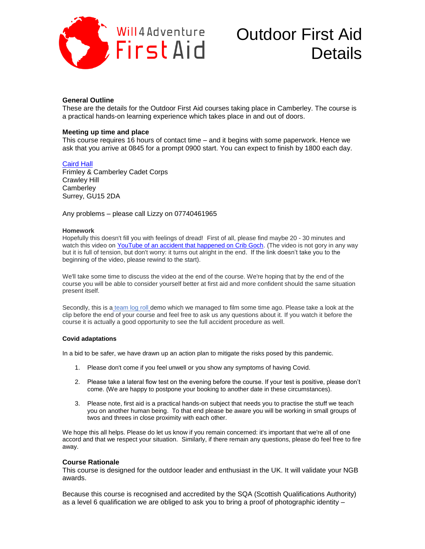

# Outdoor First Aid

# **General Outline**

These are the details for the Outdoor First Aid courses taking place in Camberley. The course is a practical hands-on learning experience which takes place in and out of doors.

# **Meeting up time and place**

This course requires 16 hours of contact time – and it begins with some paperwork. Hence we ask that you arrive at 0845 for a prompt 0900 start. You can expect to finish by 1800 each day.

# [Caird Hall](https://www.google.com/maps/place/Caird+Hall/@51.3366111,-0.7292582,15z/data=!4m5!3m4!1s0x0:0xb70d779af5e02e6d!8m2!3d51.3366088!4d-0.7293441)

Frimley & Camberley Cadet Corps Crawley Hill **Camberley** Surrey, GU15 2DA

Any problems – please call Lizzy on 07740461965

#### **Homework**

Hopefully this doesn't fill you with feelings of dread! First of all, please find maybe 20 - 30 minutes and watch this video on YouTube of an [accident that happened on Crib Goch.](https://youtu.be/CRf7CnhOzXY) (The video is not gory in any way but it is full of tension, but don't worry: it turns out alright in the end. If the link doesn't take you to the beginning of the video, please rewind to the start).

We'll take some time to discuss the video at the end of the course. We're hoping that by the end of the course you will be able to consider yourself better at first aid and more confident should the same situation present itself.

Secondly, this is a [team log roll](https://youtu.be/P1O5pClXSYI) demo which we managed to film some time ago. Please take a look at the clip before the end of your course and feel free to ask us any questions about it. If you watch it before the course it is actually a good opportunity to see the full accident procedure as well.

#### **Covid adaptations**

In a bid to be safer, we have drawn up an action plan to mitigate the risks posed by this pandemic.

- 1. Please don't come if you feel unwell or you show any symptoms of having Covid.
- 2. Please take a lateral flow test on the evening before the course. If your test is positive, please don't come. (We are happy to postpone your booking to another date in these circumstances).
- 3. Please note, first aid is a practical hands-on subject that needs you to practise the stuff we teach you on another human being. To that end please be aware you will be working in small groups of twos and threes in close proximity with each other.

We hope this all helps. Please do let us know if you remain concerned: it's important that we're all of one accord and that we respect your situation. Similarly, if there remain any questions, please do feel free to fire away.

# **Course Rationale**

This course is designed for the outdoor leader and enthusiast in the UK. It will validate your NGB awards.

Because this course is recognised and accredited by the SQA (Scottish Qualifications Authority) as a level 6 qualification we are obliged to ask you to bring a proof of photographic identity –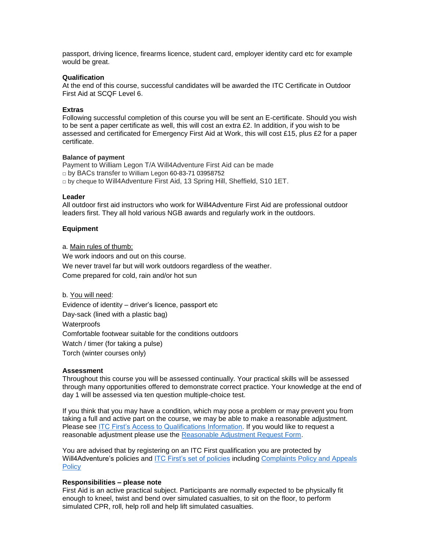passport, driving licence, firearms licence, student card, employer identity card etc for example would be great.

# **Qualification**

At the end of this course, successful candidates will be awarded the ITC Certificate in Outdoor First Aid at SCQF Level 6**.**

#### **Extras**

Following successful completion of this course you will be sent an E-certificate. Should you wish to be sent a paper certificate as well, this will cost an extra £2. In addition, if you wish to be assessed and certificated for Emergency First Aid at Work, this will cost £15, plus £2 for a paper certificate.

# **Balance of payment**

Payment to William Legon T/A Will4Adventure First Aid can be made □ by BACs transfer to William Legon 60-83-71 03958752  $\Box$  by cheque to Will4Adventure First Aid, 13 Spring Hill, Sheffield, S10 1ET.

#### **Leader**

All outdoor first aid instructors who work for Will4Adventure First Aid are professional outdoor leaders first. They all hold various NGB awards and regularly work in the outdoors.

# **Equipment**

a. Main rules of thumb:

We work indoors and out on this course. We never travel far but will work outdoors regardless of the weather. Come prepared for cold, rain and/or hot sun

b. You will need: Evidence of identity – driver's licence, passport etc Day-sack (lined with a plastic bag) **Waterproofs** Comfortable footwear suitable for the conditions outdoors Watch / timer (for taking a pulse) Torch (winter courses only)

# **Assessment**

Throughout this course you will be assessed continually. Your practical skills will be assessed through many opportunities offered to demonstrate correct practice. Your knowledge at the end of day 1 will be assessed via ten question multiple-choice test.

If you think that you may have a condition, which may pose a problem or may prevent you from taking a full and active part on the course, we may be able to make a reasonable adjustment. Please see [ITC First's Access to Qualifications Information.](https://www.itcfirst.org.uk/policies/access-to-qualifications--reasonable-adjustments--special-considerations/5.htm) If you would like to request a reasonable adjustment please use the [Reasonable Adjustment Request Form.](https://www.itcfirst.org.uk/policies/procedures--forms/2.htm)

You are advised that by registering on an ITC First qualification you are protected by Will4Adventure's policies and [ITC First's set of policies](https://www.itcfirst.org.uk/policies/policies/1.htm) including [Complaints Policy and Appeals](https://www.itcfirst.org.uk/policies/policies/1.htm)  **[Policy](https://www.itcfirst.org.uk/policies/policies/1.htm)** 

#### **Responsibilities – please note**

First Aid is an active practical subject. Participants are normally expected to be physically fit enough to kneel, twist and bend over simulated casualties, to sit on the floor, to perform simulated CPR, roll, help roll and help lift simulated casualties.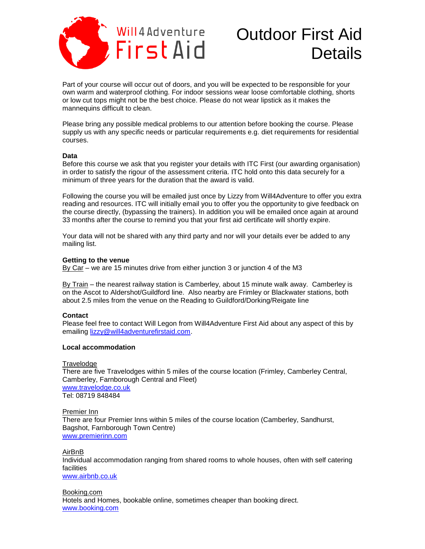

# Outdoor First Aid Nuillandventure Outdoor First Aid

Part of your course will occur out of doors, and you will be expected to be responsible for your own warm and waterproof clothing. For indoor sessions wear loose comfortable clothing, shorts or low cut tops might not be the best choice. Please do not wear lipstick as it makes the mannequins difficult to clean.

Please bring any possible medical problems to our attention before booking the course. Please supply us with any specific needs or particular requirements e.g. diet requirements for residential courses.

# **Data**

Before this course we ask that you register your details with ITC First (our awarding organisation) in order to satisfy the rigour of the assessment criteria. ITC hold onto this data securely for a minimum of three years for the duration that the award is valid.

Following the course you will be emailed just once by Lizzy from Will4Adventure to offer you extra reading and resources. ITC will initially email you to offer you the opportunity to give feedback on the course directly, (bypassing the trainers). In addition you will be emailed once again at around 33 months after the course to remind you that your first aid certificate will shortly expire.

Your data will not be shared with any third party and nor will your details ever be added to any mailing list.

# **Getting to the venue**

By Car – we are 15 minutes drive from either junction 3 or junction 4 of the M3

By Train – the nearest railway station is Camberley, about 15 minute walk away. Camberley is on the Ascot to Aldershot/Guildford line. Also nearby are Frimley or Blackwater stations, both about 2.5 miles from the venue on the Reading to Guildford/Dorking/Reigate line

# **Contact**

Please feel free to contact Will Legon from Will4Adventure First Aid about any aspect of this by emailing [lizzy@will4adventurefirstaid.com.](mailto:lizzy@will4adventurefirstaid.com)

# **Local accommodation**

**Travelodge** There are five Travelodges within 5 miles of the course location (Frimley, Camberley Central, Camberley, Farnborough Central and Fleet) [www.travelodge.co.uk](http://www.travelodge.co.uk/) Tel: 08719 848484

Premier Inn There are four Premier Inns within 5 miles of the course location (Camberley, Sandhurst, Bagshot, Farnborough Town Centre) [www.premierinn.com](http://www.premierinn.com/)

AirBnB Individual accommodation ranging from shared rooms to whole houses, often with self catering facilities [www.airbnb.co.uk](http://www.airbnb.co.uk/)

Booking.com Hotels and Homes, bookable online, sometimes cheaper than booking direct. [www.booking.com](http://www.booking.com/)